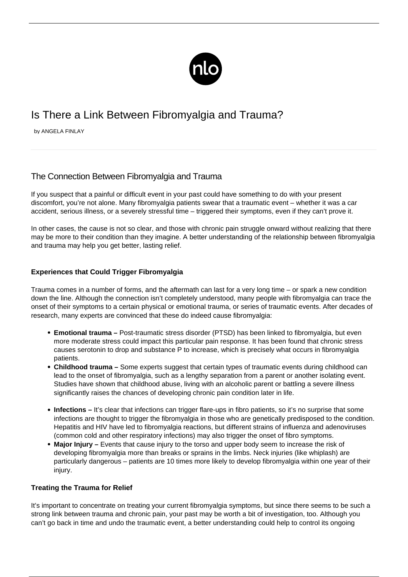

# Is There a Link Between Fibromyalgia and Trauma?

by ANGELA FINLAY

## The Connection Between Fibromyalgia and Trauma

If you suspect that a painful or difficult event in your past could have something to do with your present discomfort, you're not alone. Many fibromyalgia patients swear that a traumatic event – whether it was a car accident, serious illness, or a severely stressful time – triggered their symptoms, even if they can't prove it.

In other cases, the cause is not so clear, and those with chronic pain struggle onward without realizing that there may be more to their condition than they imagine. A better understanding of the relationship between fibromyalgia and trauma may help you get better, lasting relief.

### **Experiences that Could Trigger Fibromyalgia**

Trauma comes in a number of forms, and the aftermath can last for a very long time – or spark a new condition down the line. Although the connection isn't completely understood, many people with fibromyalgia can trace the onset of their symptoms to a certain physical or emotional trauma, or series of traumatic events. After decades of research, many experts are convinced that these do indeed cause fibromyalgia:

- **Emotional trauma** Post-traumatic stress disorder (PTSD) has been linked to fibromyalgia, but even more moderate stress could impact this particular pain response. It has been found that chronic stress causes serotonin to drop and substance P to increase, which is precisely what occurs in fibromyalgia patients.
- **Childhood trauma –** Some experts suggest that certain types of traumatic events during childhood can lead to the onset of fibromyalgia, such as a lengthy separation from a parent or another isolating event. Studies have shown that childhood abuse, living with an alcoholic parent or battling a severe illness significantly raises the chances of developing chronic pain condition later in life.
- Infections It's clear that infections can trigger flare-ups in fibro patients, so it's no surprise that some infections are thought to trigger the fibromyalgia in those who are genetically predisposed to the condition. Hepatitis and HIV have led to fibromyalgia reactions, but different strains of influenza and adenoviruses (common cold and other respiratory infections) may also trigger the onset of fibro symptoms.
- **Major Injury** Events that cause injury to the torso and upper body seem to increase the risk of developing fibromyalgia more than breaks or sprains in the limbs. Neck injuries (like whiplash) are particularly dangerous – patients are 10 times more likely to develop fibromyalgia within one year of their injury.

### **Treating the Trauma for Relief**

It's important to concentrate on treating your current [fibromyalgia symptoms,](/symptoms-of-fibromyalgia/) but since there seems to be such a strong link between trauma and chronic pain, your past may be worth a bit of investigation, too. Although you can't go back in time and undo the traumatic event, a better understanding could help to control its ongoing